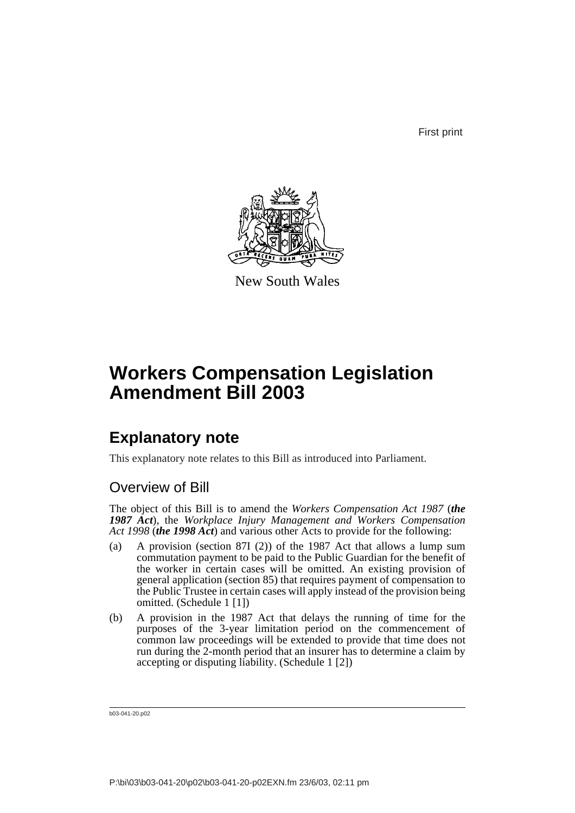First print



New South Wales

# **Workers Compensation Legislation Amendment Bill 2003**

# **Explanatory note**

This explanatory note relates to this Bill as introduced into Parliament.

# Overview of Bill

The object of this Bill is to amend the *Workers Compensation Act 1987* (*the 1987 Act*), the *Workplace Injury Management and Workers Compensation Act 1998* (*the 1998 Act*) and various other Acts to provide for the following:

- (a) A provision (section 87I (2)) of the 1987 Act that allows a lump sum commutation payment to be paid to the Public Guardian for the benefit of the worker in certain cases will be omitted. An existing provision of general application (section 85) that requires payment of compensation to the Public Trustee in certain cases will apply instead of the provision being omitted. (Schedule 1 [1])
- (b) A provision in the 1987 Act that delays the running of time for the purposes of the 3-year limitation period on the commencement of common law proceedings will be extended to provide that time does not run during the 2-month period that an insurer has to determine a claim by accepting or disputing liability. (Schedule 1 [2])

b03-041-20.p02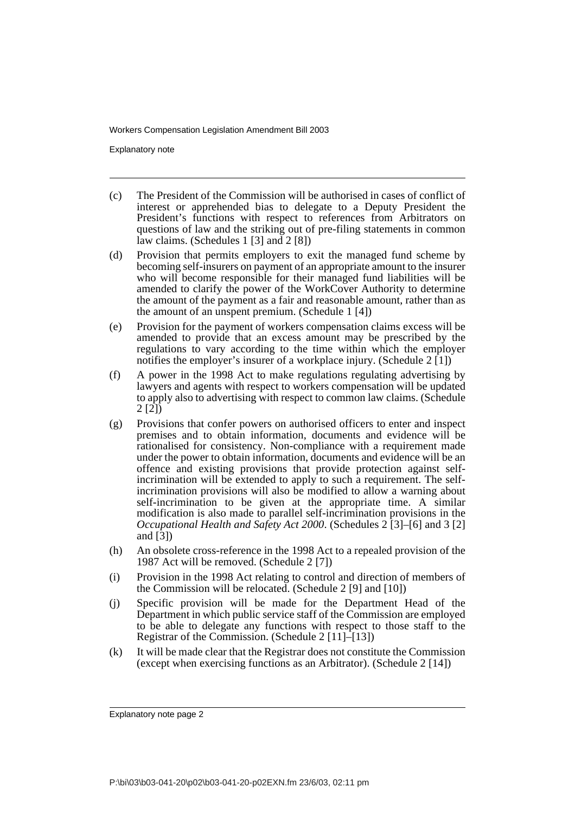Explanatory note

- (c) The President of the Commission will be authorised in cases of conflict of interest or apprehended bias to delegate to a Deputy President the President's functions with respect to references from Arbitrators on questions of law and the striking out of pre-filing statements in common law claims. (Schedules 1 [3] and 2 [8])
- (d) Provision that permits employers to exit the managed fund scheme by becoming self-insurers on payment of an appropriate amount to the insurer who will become responsible for their managed fund liabilities will be amended to clarify the power of the WorkCover Authority to determine the amount of the payment as a fair and reasonable amount, rather than as the amount of an unspent premium. (Schedule 1 [4])
- (e) Provision for the payment of workers compensation claims excess will be amended to provide that an excess amount may be prescribed by the regulations to vary according to the time within which the employer notifies the employer's insurer of a workplace injury. (Schedule  $2 \overline{11}$ )
- (f) A power in the 1998 Act to make regulations regulating advertising by lawyers and agents with respect to workers compensation will be updated to apply also to advertising with respect to common law claims. (Schedule 2 [2])
- (g) Provisions that confer powers on authorised officers to enter and inspect premises and to obtain information, documents and evidence will be rationalised for consistency. Non-compliance with a requirement made under the power to obtain information, documents and evidence will be an offence and existing provisions that provide protection against selfincrimination will be extended to apply to such a requirement. The selfincrimination provisions will also be modified to allow a warning about self-incrimination to be given at the appropriate time. A similar modification is also made to parallel self-incrimination provisions in the *Occupational Health and Safety Act 2000*. (Schedules 2 [3]–[6] and 3 [2] and [3])
- (h) An obsolete cross-reference in the 1998 Act to a repealed provision of the 1987 Act will be removed. (Schedule 2 [7])
- (i) Provision in the 1998 Act relating to control and direction of members of the Commission will be relocated. (Schedule 2 [9] and [10])
- (j) Specific provision will be made for the Department Head of the Department in which public service staff of the Commission are employed to be able to delegate any functions with respect to those staff to the Registrar of the Commission. (Schedule 2 [11]–[13])
- (k) It will be made clear that the Registrar does not constitute the Commission (except when exercising functions as an Arbitrator). (Schedule 2 [14])

Explanatory note page 2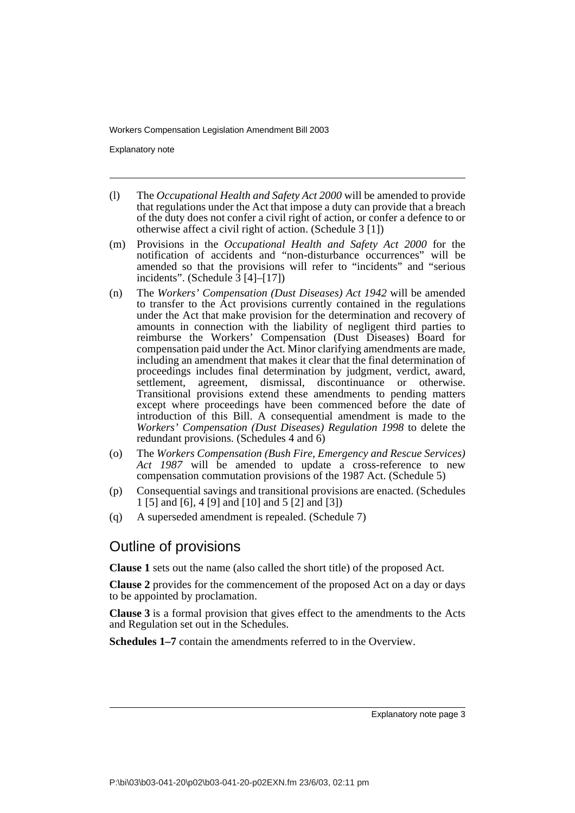Explanatory note

- (l) The *Occupational Health and Safety Act 2000* will be amended to provide that regulations under the Act that impose a duty can provide that a breach of the duty does not confer a civil right of action, or confer a defence to or otherwise affect a civil right of action. (Schedule 3 [1])
- (m) Provisions in the *Occupational Health and Safety Act 2000* for the notification of accidents and "non-disturbance occurrences" will be amended so that the provisions will refer to "incidents" and "serious incidents". (Schedule  $\overline{3}$  [4]–[17])
- (n) The *Workers' Compensation (Dust Diseases) Act 1942* will be amended to transfer to the Act provisions currently contained in the regulations under the Act that make provision for the determination and recovery of amounts in connection with the liability of negligent third parties to reimburse the Workers' Compensation (Dust Diseases) Board for compensation paid under the Act. Minor clarifying amendments are made, including an amendment that makes it clear that the final determination of proceedings includes final determination by judgment, verdict, award, settlement, agreement, dismissal, discontinuance or otherwise. Transitional provisions extend these amendments to pending matters except where proceedings have been commenced before the date of introduction of this Bill. A consequential amendment is made to the *Workers' Compensation (Dust Diseases) Regulation 1998* to delete the redundant provisions. (Schedules 4 and 6)
- (o) The *Workers Compensation (Bush Fire, Emergency and Rescue Services) Act 1987* will be amended to update a cross-reference to new compensation commutation provisions of the 1987 Act. (Schedule 5)
- (p) Consequential savings and transitional provisions are enacted. (Schedules 1 [5] and [6], 4 [9] and [10] and 5 [2] and [3])
- (q) A superseded amendment is repealed. (Schedule 7)

## Outline of provisions

**Clause 1** sets out the name (also called the short title) of the proposed Act.

**Clause 2** provides for the commencement of the proposed Act on a day or days to be appointed by proclamation.

**Clause 3** is a formal provision that gives effect to the amendments to the Acts and Regulation set out in the Schedules.

**Schedules 1–7** contain the amendments referred to in the Overview.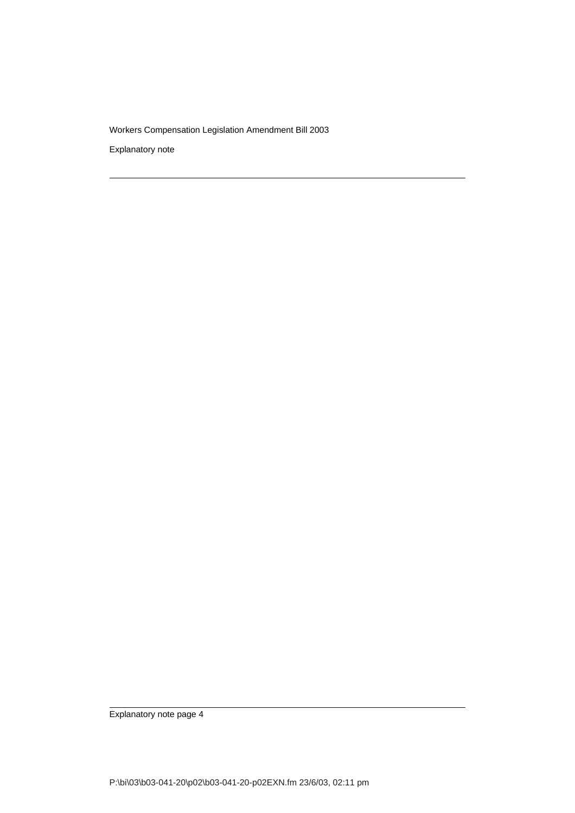Explanatory note

Explanatory note page 4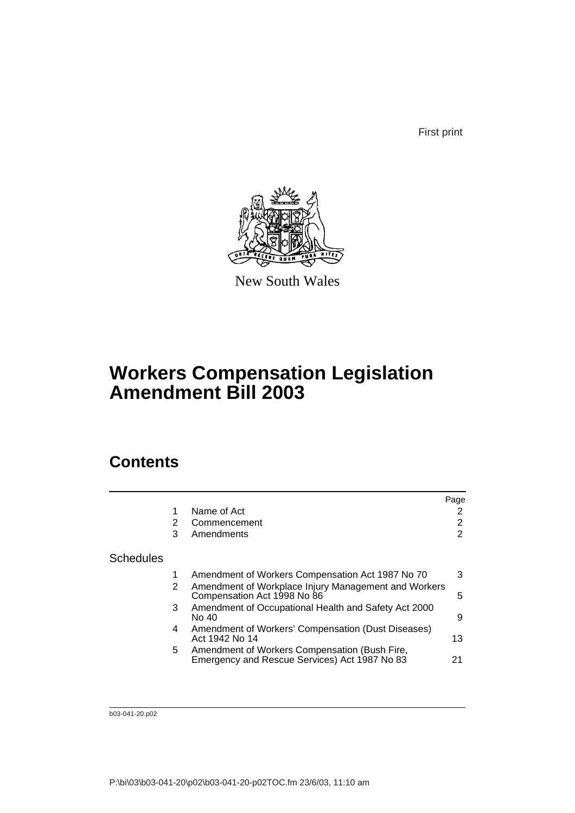First print



New South Wales

# **Workers Compensation Legislation Amendment Bill 2003**

# **Contents**

|                  |    |                                                                                                | Page           |
|------------------|----|------------------------------------------------------------------------------------------------|----------------|
|                  |    | Name of Act                                                                                    | 2              |
|                  | 2  | Commencement                                                                                   | 2              |
|                  | 3  | Amendments                                                                                     | $\overline{2}$ |
| <b>Schedules</b> |    |                                                                                                |                |
|                  |    | Amendment of Workers Compensation Act 1987 No 70                                               | 3              |
|                  | 2  | Amendment of Workplace Injury Management and Workers<br>Compensation Act 1998 No 86            | 5              |
|                  | 3  | Amendment of Occupational Health and Safety Act 2000<br>No 40                                  | 9              |
|                  | 4  | Amendment of Workers' Compensation (Dust Diseases)<br>Act 1942 No 14                           | 13             |
|                  | 5. | Amendment of Workers Compensation (Bush Fire,<br>Emergency and Rescue Services) Act 1987 No 83 | 21             |
|                  |    |                                                                                                |                |

b03-041-20.p02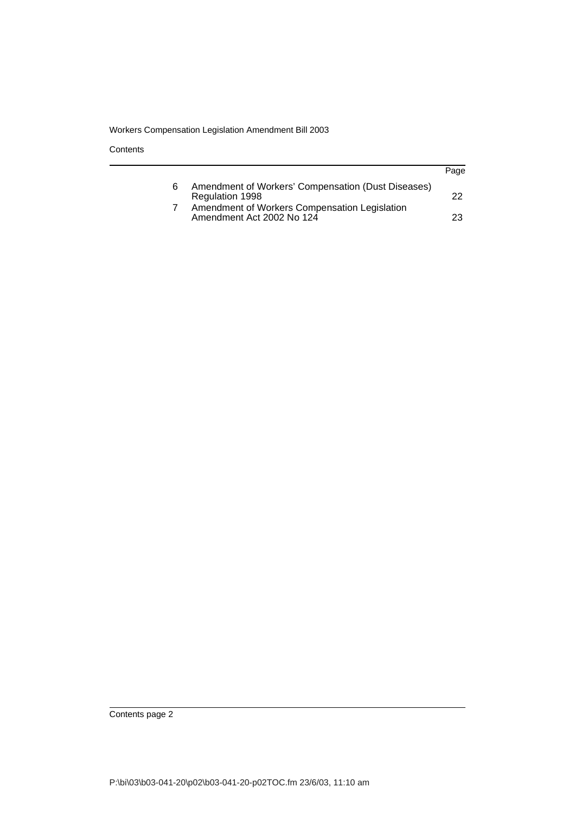**Contents** 

|   |                                                                            | Page |
|---|----------------------------------------------------------------------------|------|
| 6 | Amendment of Workers' Compensation (Dust Diseases)<br>Regulation 1998      | つつ   |
|   | Amendment of Workers Compensation Legislation<br>Amendment Act 2002 No 124 | 23   |

Contents page 2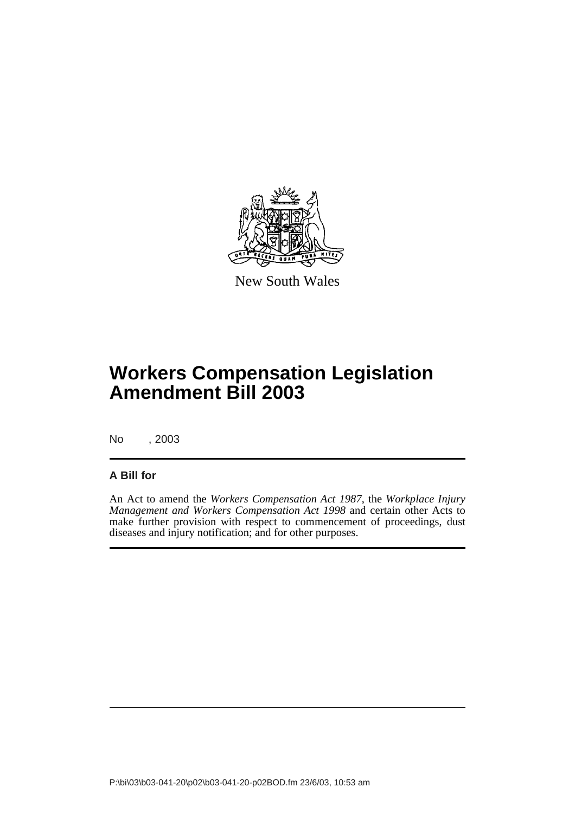

New South Wales

# **Workers Compensation Legislation Amendment Bill 2003**

No , 2003

### **A Bill for**

An Act to amend the *Workers Compensation Act 1987*, the *Workplace Injury Management and Workers Compensation Act 1998* and certain other Acts to make further provision with respect to commencement of proceedings, dust diseases and injury notification; and for other purposes.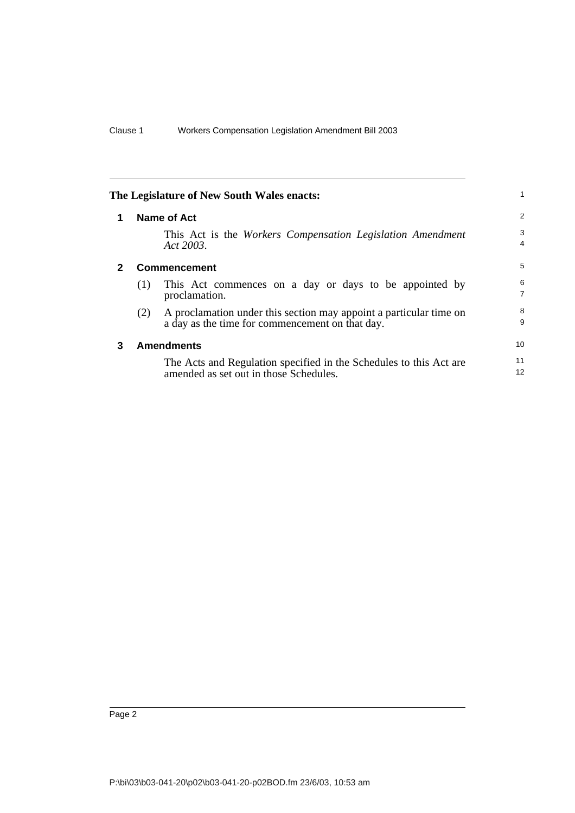<span id="page-7-2"></span><span id="page-7-1"></span><span id="page-7-0"></span>

|   |                     | The Legislature of New South Wales enacts:                                                                            | 1                   |  |  |
|---|---------------------|-----------------------------------------------------------------------------------------------------------------------|---------------------|--|--|
| 1 |                     | Name of Act                                                                                                           | 2                   |  |  |
|   |                     | This Act is the Workers Compensation Legislation Amendment<br>Act 2003.                                               | 3<br>$\overline{a}$ |  |  |
| 2 | <b>Commencement</b> |                                                                                                                       |                     |  |  |
|   | (1)                 | This Act commences on a day or days to be appointed by<br>proclamation.                                               | 6<br>$\overline{7}$ |  |  |
|   | (2)                 | A proclamation under this section may appoint a particular time on<br>a day as the time for commencement on that day. | 8<br>9              |  |  |
| 3 |                     | <b>Amendments</b>                                                                                                     | 10                  |  |  |
|   |                     | The Acts and Regulation specified in the Schedules to this Act are<br>amended as set out in those Schedules.          | 11<br>12            |  |  |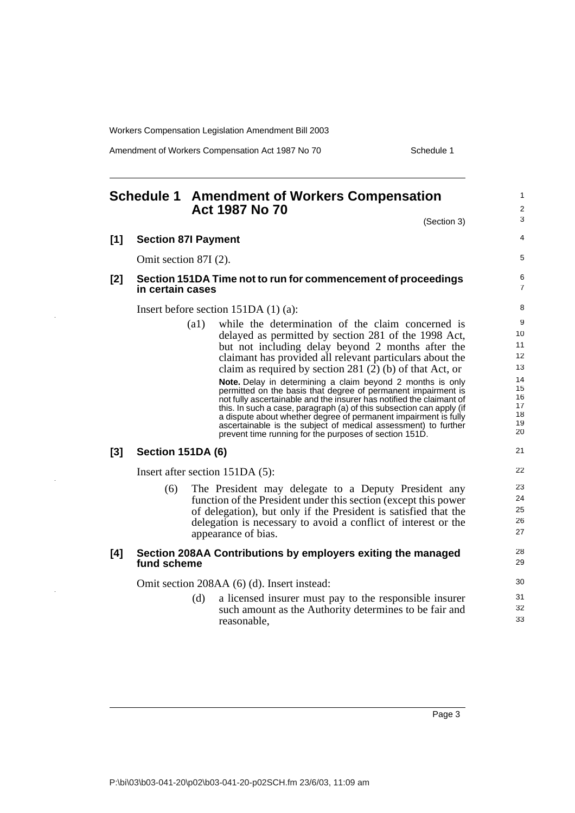Amendment of Workers Compensation Act 1987 No 70 Schedule 1

1 2

## <span id="page-8-0"></span>**Schedule 1 Amendment of Workers Compensation Act 1987 No 70**

| [1]<br><b>Section 87I Payment</b><br>Omit section 87I (2).<br>[2]<br>Section 151DA Time not to run for commencement of proceedings<br>in certain cases<br>Insert before section $151DA(1)(a)$ :                                                                                                                                                                                                                                                                                                                                                                                                                                                                                                                                                                                              | 4<br>5<br>6<br>$\overline{7}$<br>8<br>9<br>10<br>11<br>12<br>13 |
|----------------------------------------------------------------------------------------------------------------------------------------------------------------------------------------------------------------------------------------------------------------------------------------------------------------------------------------------------------------------------------------------------------------------------------------------------------------------------------------------------------------------------------------------------------------------------------------------------------------------------------------------------------------------------------------------------------------------------------------------------------------------------------------------|-----------------------------------------------------------------|
|                                                                                                                                                                                                                                                                                                                                                                                                                                                                                                                                                                                                                                                                                                                                                                                              |                                                                 |
|                                                                                                                                                                                                                                                                                                                                                                                                                                                                                                                                                                                                                                                                                                                                                                                              |                                                                 |
|                                                                                                                                                                                                                                                                                                                                                                                                                                                                                                                                                                                                                                                                                                                                                                                              |                                                                 |
|                                                                                                                                                                                                                                                                                                                                                                                                                                                                                                                                                                                                                                                                                                                                                                                              |                                                                 |
| while the determination of the claim concerned is<br>$\left( a1\right)$<br>delayed as permitted by section 281 of the 1998 Act,<br>but not including delay beyond 2 months after the<br>claimant has provided all relevant particulars about the<br>claim as required by section 281 $(2)$ (b) of that Act, or<br>Note. Delay in determining a claim beyond 2 months is only<br>permitted on the basis that degree of permanent impairment is<br>not fully ascertainable and the insurer has notified the claimant of<br>this. In such a case, paragraph (a) of this subsection can apply (if<br>a dispute about whether degree of permanent impairment is fully<br>ascertainable is the subject of medical assessment) to further<br>prevent time running for the purposes of section 151D. | 14<br>15<br>16<br>17<br>18<br>19<br>20                          |
| [3]<br>Section 151DA (6)                                                                                                                                                                                                                                                                                                                                                                                                                                                                                                                                                                                                                                                                                                                                                                     | 21                                                              |
| Insert after section 151DA (5):                                                                                                                                                                                                                                                                                                                                                                                                                                                                                                                                                                                                                                                                                                                                                              | 22                                                              |
| The President may delegate to a Deputy President any<br>(6)<br>function of the President under this section (except this power<br>of delegation), but only if the President is satisfied that the<br>delegation is necessary to avoid a conflict of interest or the<br>appearance of bias.                                                                                                                                                                                                                                                                                                                                                                                                                                                                                                   | 23<br>24<br>25<br>26<br>27                                      |
| [4]<br>Section 208AA Contributions by employers exiting the managed<br>fund scheme                                                                                                                                                                                                                                                                                                                                                                                                                                                                                                                                                                                                                                                                                                           | 28<br>29                                                        |
| Omit section 208AA (6) (d). Insert instead:                                                                                                                                                                                                                                                                                                                                                                                                                                                                                                                                                                                                                                                                                                                                                  | 30                                                              |
| (d)<br>a licensed insurer must pay to the responsible insurer<br>such amount as the Authority determines to be fair and<br>reasonable,                                                                                                                                                                                                                                                                                                                                                                                                                                                                                                                                                                                                                                                       | 31<br>32<br>33                                                  |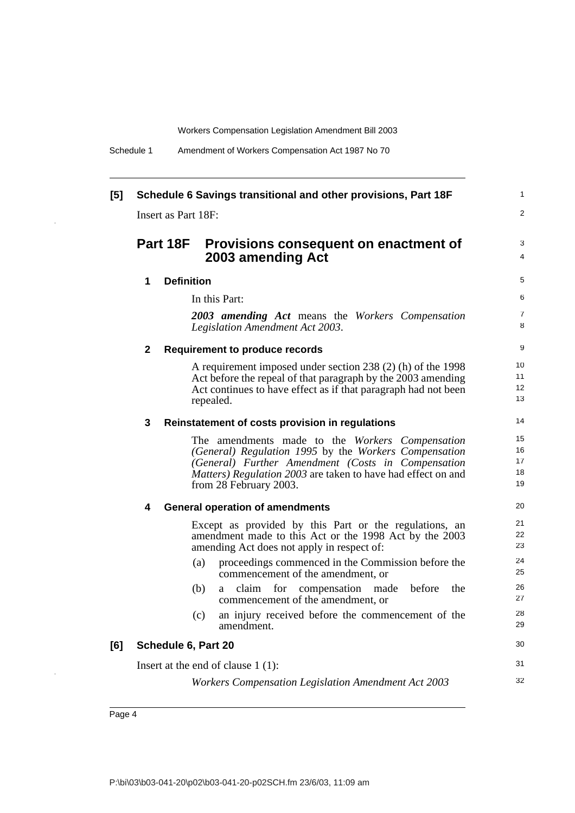Schedule 1 Amendment of Workers Compensation Act 1987 No 70

|                     | Schedule 6 Savings transitional and other provisions, Part 18F                                        | $\mathbf{1}$        |
|---------------------|-------------------------------------------------------------------------------------------------------|---------------------|
| Insert as Part 18F: |                                                                                                       | $\overline{2}$      |
| <b>Part 18F</b>     | Provisions consequent on enactment of<br>2003 amending Act                                            | 3<br>4              |
| $\mathbf 1$         | <b>Definition</b>                                                                                     | 5                   |
|                     | In this Part:                                                                                         | 6                   |
|                     | 2003 amending Act means the Workers Compensation<br>Legislation Amendment Act 2003.                   | $\overline{7}$<br>8 |
| $\mathbf{2}$        | <b>Requirement to produce records</b>                                                                 | 9                   |
|                     | A requirement imposed under section 238 (2) (h) of the 1998                                           | 10                  |
|                     | Act before the repeal of that paragraph by the 2003 amending                                          | 11                  |
|                     | Act continues to have effect as if that paragraph had not been<br>repealed.                           | 12<br>13            |
| 3                   | Reinstatement of costs provision in regulations                                                       | 14                  |
|                     | The amendments made to the Workers Compensation                                                       | 15                  |
|                     | (General) Regulation 1995 by the Workers Compensation                                                 | 16                  |
|                     | (General) Further Amendment (Costs in Compensation                                                    | 17                  |
|                     | <i>Matters</i> ) <i>Regulation 2003</i> are taken to have had effect on and<br>from 28 February 2003. | 18<br>19            |
| 4                   | <b>General operation of amendments</b>                                                                | 20                  |
|                     | Except as provided by this Part or the regulations, an                                                | 21                  |
|                     | amendment made to this Act or the 1998 Act by the 2003<br>amending Act does not apply in respect of:  | 22<br>23            |
|                     | proceedings commenced in the Commission before the<br>(a)<br>commencement of the amendment, or        | 24<br>25            |
|                     | claim for compensation made before<br>(b)<br>the<br>a<br>commencement of the amendment, or            | 26<br>27            |
|                     | an injury received before the commencement of the<br>(c)<br>amendment.                                | 28<br>29            |
| Schedule 6, Part 20 |                                                                                                       | 30                  |
|                     | Insert at the end of clause $1(1)$ :                                                                  | 31                  |
|                     | <b>Workers Compensation Legislation Amendment Act 2003</b>                                            | 32                  |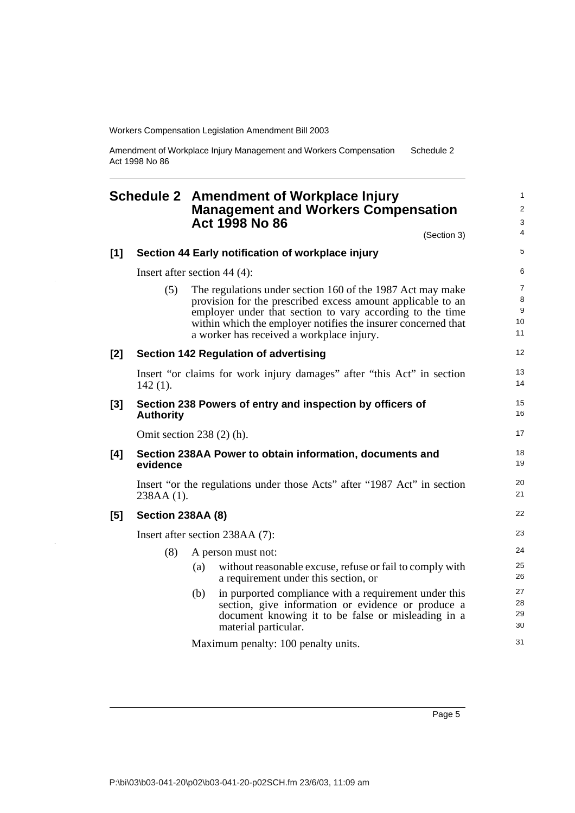Amendment of Workplace Injury Management and Workers Compensation Act 1998 No 86 Schedule 2

## <span id="page-10-0"></span>**Schedule 2 Amendment of Workplace Injury Management and Workers Compensation Act 1998 No 86**

|     |                                |     | <b>Act 1998 No 86</b>                                                                                                                                                                                                                                                                                | 3                                    |
|-----|--------------------------------|-----|------------------------------------------------------------------------------------------------------------------------------------------------------------------------------------------------------------------------------------------------------------------------------------------------------|--------------------------------------|
|     |                                |     | (Section 3)                                                                                                                                                                                                                                                                                          | 4                                    |
| [1] |                                |     | Section 44 Early notification of workplace injury                                                                                                                                                                                                                                                    | $\sqrt{5}$                           |
|     | Insert after section $44(4)$ : |     |                                                                                                                                                                                                                                                                                                      | 6                                    |
|     | (5)                            |     | The regulations under section 160 of the 1987 Act may make<br>provision for the prescribed excess amount applicable to an<br>employer under that section to vary according to the time<br>within which the employer notifies the insurer concerned that<br>a worker has received a workplace injury. | $\overline{7}$<br>8<br>9<br>10<br>11 |
| [2] |                                |     | <b>Section 142 Regulation of advertising</b>                                                                                                                                                                                                                                                         | 12                                   |
|     | $142(1)$ .                     |     | Insert "or claims for work injury damages" after "this Act" in section                                                                                                                                                                                                                               | 13<br>14                             |
| [3] | <b>Authority</b>               |     | Section 238 Powers of entry and inspection by officers of                                                                                                                                                                                                                                            | 15<br>16                             |
|     | Omit section $238(2)$ (h).     |     |                                                                                                                                                                                                                                                                                                      | 17                                   |
| [4] | evidence                       |     | Section 238AA Power to obtain information, documents and                                                                                                                                                                                                                                             | 18<br>19                             |
|     | 238AA (1).                     |     | Insert "or the regulations under those Acts" after "1987 Act" in section                                                                                                                                                                                                                             | 20<br>21                             |
| [5] | Section 238AA (8)              |     |                                                                                                                                                                                                                                                                                                      | 22                                   |
|     |                                |     | Insert after section 238AA (7):                                                                                                                                                                                                                                                                      | 23                                   |
|     | (8)                            |     | A person must not:                                                                                                                                                                                                                                                                                   | 24                                   |
|     |                                | (a) | without reasonable excuse, refuse or fail to comply with<br>a requirement under this section, or                                                                                                                                                                                                     | 25<br>26                             |
|     |                                | (b) | in purported compliance with a requirement under this<br>section, give information or evidence or produce a<br>document knowing it to be false or misleading in a<br>material particular.                                                                                                            | 27<br>28<br>29<br>30                 |
|     |                                |     | Maximum penalty: 100 penalty units.                                                                                                                                                                                                                                                                  | 31                                   |

Page 5

1 2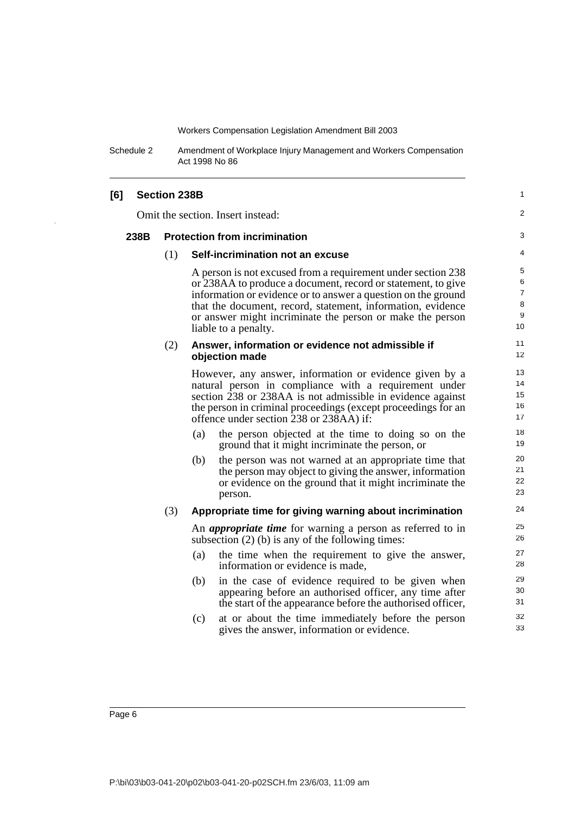Schedule 2 Amendment of Workplace Injury Management and Workers Compensation Act 1998 No 86

#### **[6] Section 238B** Omit the section. Insert instead: **238B Protection from incrimination** (1) **Self-incrimination not an excuse** A person is not excused from a requirement under section 238 or 238AA to produce a document, record or statement, to give information or evidence or to answer a question on the ground that the document, record, statement, information, evidence or answer might incriminate the person or make the person liable to a penalty. (2) **Answer, information or evidence not admissible if objection made** However, any answer, information or evidence given by a natural person in compliance with a requirement under section 238 or 238AA is not admissible in evidence against the person in criminal proceedings (except proceedings for an offence under section 238 or 238AA) if: (a) the person objected at the time to doing so on the ground that it might incriminate the person, or (b) the person was not warned at an appropriate time that the person may object to giving the answer, information or evidence on the ground that it might incriminate the person. (3) **Appropriate time for giving warning about incrimination** An *appropriate time* for warning a person as referred to in subsection  $(2)$  (b) is any of the following times: (a) the time when the requirement to give the answer, information or evidence is made, (b) in the case of evidence required to be given when appearing before an authorised officer, any time after the start of the appearance before the authorised officer, (c) at or about the time immediately before the person gives the answer, information or evidence. 1  $\overline{2}$ 3 4 5 6 7 8 9 10 11 12 13 14 15 16 17 18 19 20 21 22 23 24 25 26 27 28 29 30 31 32 33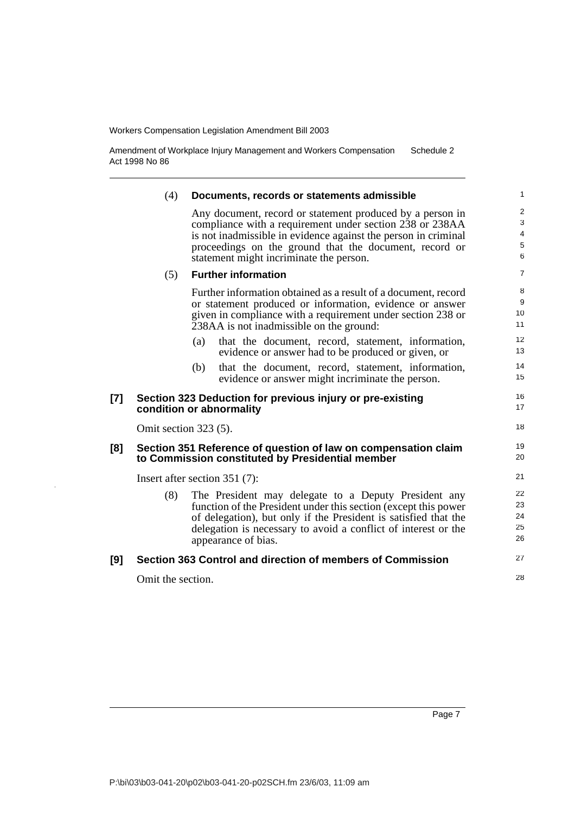Amendment of Workplace Injury Management and Workers Compensation Act 1998 No 86 Schedule 2

|       | (4)                     | Documents, records or statements admissible                                                                                                                                                                                                                                                  | 1                                           |
|-------|-------------------------|----------------------------------------------------------------------------------------------------------------------------------------------------------------------------------------------------------------------------------------------------------------------------------------------|---------------------------------------------|
|       |                         | Any document, record or statement produced by a person in<br>compliance with a requirement under section 238 or 238AA<br>is not inadmissible in evidence against the person in criminal<br>proceedings on the ground that the document, record or<br>statement might incriminate the person. | $\overline{\mathbf{c}}$<br>3<br>4<br>5<br>6 |
|       | (5)                     | <b>Further information</b>                                                                                                                                                                                                                                                                   | 7                                           |
|       |                         | Further information obtained as a result of a document, record<br>or statement produced or information, evidence or answer<br>given in compliance with a requirement under section 238 or<br>238AA is not inadmissible on the ground:                                                        | 8<br>9<br>10<br>11                          |
|       |                         | (a)<br>that the document, record, statement, information,<br>evidence or answer had to be produced or given, or                                                                                                                                                                              | 12<br>13                                    |
|       |                         | that the document, record, statement, information,<br>(b)<br>evidence or answer might incriminate the person.                                                                                                                                                                                | 14<br>15                                    |
| $[7]$ |                         | Section 323 Deduction for previous injury or pre-existing<br>condition or abnormality                                                                                                                                                                                                        | 16<br>17                                    |
|       | Omit section $323(5)$ . |                                                                                                                                                                                                                                                                                              | 18                                          |
| [8]   |                         | Section 351 Reference of question of law on compensation claim<br>to Commission constituted by Presidential member                                                                                                                                                                           | 19<br>20                                    |
|       |                         | Insert after section $351(7)$ :                                                                                                                                                                                                                                                              | 21                                          |
|       | (8)                     | The President may delegate to a Deputy President any<br>function of the President under this section (except this power<br>of delegation), but only if the President is satisfied that the<br>delegation is necessary to avoid a conflict of interest or the<br>appearance of bias.          | 22<br>23<br>24<br>25<br>26                  |
| [9]   |                         | Section 363 Control and direction of members of Commission                                                                                                                                                                                                                                   | 27                                          |
|       | Omit the section.       |                                                                                                                                                                                                                                                                                              | 28                                          |
|       |                         |                                                                                                                                                                                                                                                                                              |                                             |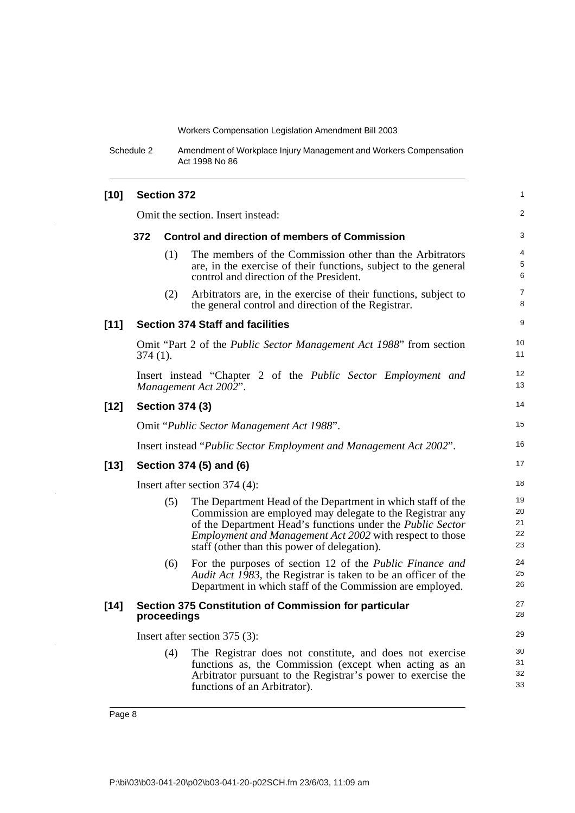Schedule 2 Amendment of Workplace Injury Management and Workers Compensation Act 1998 No 86

| $[10]$ | <b>Section 372</b> |                        |                                                                                                                                                                                                                                                                                                                  |                            |  |
|--------|--------------------|------------------------|------------------------------------------------------------------------------------------------------------------------------------------------------------------------------------------------------------------------------------------------------------------------------------------------------------------|----------------------------|--|
|        |                    |                        | Omit the section. Insert instead:                                                                                                                                                                                                                                                                                | 2                          |  |
|        | 372                |                        | <b>Control and direction of members of Commission</b>                                                                                                                                                                                                                                                            | 3                          |  |
|        |                    | (1)                    | The members of the Commission other than the Arbitrators<br>are, in the exercise of their functions, subject to the general<br>control and direction of the President.                                                                                                                                           | 4<br>5<br>6                |  |
|        |                    | (2)                    | Arbitrators are, in the exercise of their functions, subject to<br>the general control and direction of the Registrar.                                                                                                                                                                                           | 7<br>8                     |  |
| $[11]$ |                    |                        | <b>Section 374 Staff and facilities</b>                                                                                                                                                                                                                                                                          | 9                          |  |
|        | $374(1)$ .         |                        | Omit "Part 2 of the <i>Public Sector Management Act 1988</i> " from section                                                                                                                                                                                                                                      | 10<br>11                   |  |
|        |                    |                        | Insert instead "Chapter 2 of the <i>Public Sector Employment and</i><br>Management Act 2002".                                                                                                                                                                                                                    | 12<br>13                   |  |
| [12]   |                    | <b>Section 374 (3)</b> |                                                                                                                                                                                                                                                                                                                  | 14                         |  |
|        |                    |                        | Omit "Public Sector Management Act 1988".                                                                                                                                                                                                                                                                        | 15                         |  |
|        |                    |                        | Insert instead "Public Sector Employment and Management Act 2002".                                                                                                                                                                                                                                               | 16                         |  |
| $[13]$ |                    |                        | Section 374 (5) and (6)                                                                                                                                                                                                                                                                                          | 17                         |  |
|        |                    |                        | Insert after section $374(4)$ :                                                                                                                                                                                                                                                                                  | 18                         |  |
|        |                    | (5)                    | The Department Head of the Department in which staff of the<br>Commission are employed may delegate to the Registrar any<br>of the Department Head's functions under the <i>Public Sector</i><br><i>Employment and Management Act 2002</i> with respect to those<br>staff (other than this power of delegation). | 19<br>20<br>21<br>22<br>23 |  |
|        |                    | (6)                    | For the purposes of section 12 of the Public Finance and<br>Audit Act 1983, the Registrar is taken to be an officer of the<br>Department in which staff of the Commission are employed.                                                                                                                          | 24<br>25<br>26             |  |
| $[14]$ |                    | proceedings            | Section 375 Constitution of Commission for particular                                                                                                                                                                                                                                                            | 27<br>28                   |  |
|        |                    |                        | Insert after section 375 (3):                                                                                                                                                                                                                                                                                    | 29                         |  |
|        |                    | (4)                    | The Registrar does not constitute, and does not exercise<br>functions as, the Commission (except when acting as an<br>Arbitrator pursuant to the Registrar's power to exercise the<br>functions of an Arbitrator).                                                                                               | 30<br>31<br>32<br>33       |  |

Page 8

l,

l,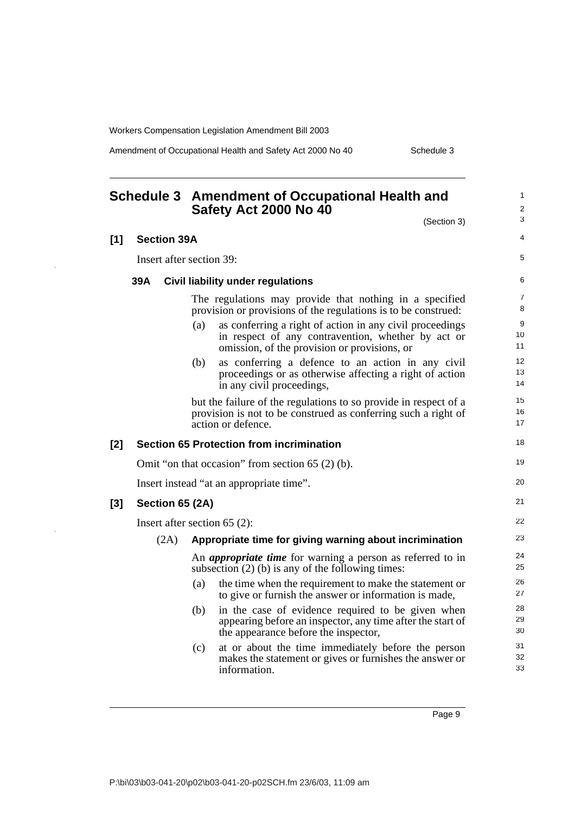Amendment of Occupational Health and Safety Act 2000 No 40 Schedule 3

<span id="page-14-0"></span>

|       |     | Schedule 3 Amendment of Occupational Health and<br>Safety Act 2000 No 40 |                                                                                                                                                                       | $\mathbf{1}$<br>$\overline{c}$<br>3 |
|-------|-----|--------------------------------------------------------------------------|-----------------------------------------------------------------------------------------------------------------------------------------------------------------------|-------------------------------------|
|       |     |                                                                          | (Section 3)                                                                                                                                                           | 4                                   |
| [1]   |     | <b>Section 39A</b>                                                       |                                                                                                                                                                       |                                     |
|       |     |                                                                          | Insert after section 39:                                                                                                                                              | 5                                   |
|       | 39A |                                                                          | Civil liability under regulations                                                                                                                                     | 6                                   |
|       |     |                                                                          | The regulations may provide that nothing in a specified<br>provision or provisions of the regulations is to be construed:                                             | $\overline{7}$<br>8                 |
|       |     |                                                                          | as conferring a right of action in any civil proceedings<br>(a)<br>in respect of any contravention, whether by act or<br>omission, of the provision or provisions, or | 9<br>10<br>11                       |
|       |     |                                                                          | as conferring a defence to an action in any civil<br>(b)<br>proceedings or as otherwise affecting a right of action<br>in any civil proceedings,                      | 12<br>13<br>14                      |
|       |     |                                                                          | but the failure of the regulations to so provide in respect of a<br>provision is not to be construed as conferring such a right of<br>action or defence.              | 15<br>16<br>17                      |
| $[2]$ |     |                                                                          | <b>Section 65 Protection from incrimination</b>                                                                                                                       | 18                                  |
|       |     |                                                                          | Omit "on that occasion" from section $65(2)$ (b).                                                                                                                     | 19                                  |
|       |     |                                                                          | Insert instead "at an appropriate time".                                                                                                                              | 20                                  |
| $[3]$ |     |                                                                          | Section 65 (2A)                                                                                                                                                       | 21                                  |
|       |     |                                                                          | Insert after section $65$ (2):                                                                                                                                        | 22                                  |
|       |     | (2A)                                                                     | Appropriate time for giving warning about incrimination                                                                                                               | 23                                  |
|       |     |                                                                          | An <i>appropriate time</i> for warning a person as referred to in<br>subsection $(2)$ (b) is any of the following times:                                              | 24<br>25                            |
|       |     |                                                                          | (a)<br>the time when the requirement to make the statement or<br>to give or furnish the answer or information is made,                                                | 26<br>27                            |
|       |     |                                                                          | in the case of evidence required to be given when<br>(b)<br>appearing before an inspector, any time after the start of<br>the appearance before the inspector,        | 28<br>29<br>30                      |
|       |     |                                                                          | at or about the time immediately before the person<br>(c)<br>makes the statement or gives or furnishes the answer or<br>information.                                  | 31<br>32<br>33                      |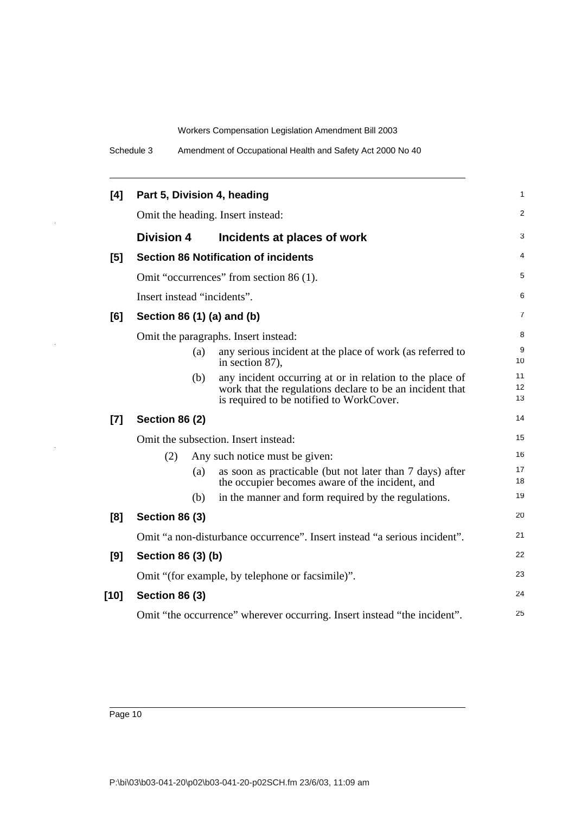Schedule 3 Amendment of Occupational Health and Safety Act 2000 No 40

| [4]    |                             |     | Part 5, Division 4, heading                                                                                                                                      | 1              |
|--------|-----------------------------|-----|------------------------------------------------------------------------------------------------------------------------------------------------------------------|----------------|
|        |                             |     | Omit the heading. Insert instead:                                                                                                                                | $\overline{c}$ |
|        | <b>Division 4</b>           |     | Incidents at places of work                                                                                                                                      | 3              |
| [5]    |                             |     | <b>Section 86 Notification of incidents</b>                                                                                                                      | 4              |
|        |                             |     | Omit "occurrences" from section 86 (1).                                                                                                                          | 5              |
|        | Insert instead "incidents". |     |                                                                                                                                                                  | 6              |
| [6]    | Section 86 (1) (a) and (b)  |     |                                                                                                                                                                  | 7              |
|        |                             |     | Omit the paragraphs. Insert instead:                                                                                                                             | 8              |
|        |                             | (a) | any serious incident at the place of work (as referred to<br>in section 87),                                                                                     | 9<br>10        |
|        |                             | (b) | any incident occurring at or in relation to the place of<br>work that the regulations declare to be an incident that<br>is required to be notified to WorkCover. | 11<br>12<br>13 |
| $[7]$  | <b>Section 86 (2)</b>       |     |                                                                                                                                                                  | 14             |
|        |                             |     | Omit the subsection. Insert instead:                                                                                                                             | 15             |
|        | (2)                         |     | Any such notice must be given:                                                                                                                                   | 16             |
|        |                             | (a) | as soon as practicable (but not later than 7 days) after<br>the occupier becomes aware of the incident, and                                                      | 17<br>18       |
|        |                             | (b) | in the manner and form required by the regulations.                                                                                                              | 19             |
| [8]    | <b>Section 86 (3)</b>       |     |                                                                                                                                                                  | 20             |
|        |                             |     | Omit "a non-disturbance occurrence". Insert instead "a serious incident".                                                                                        | 21             |
| [9]    | Section 86 (3) (b)          |     |                                                                                                                                                                  | 22             |
|        |                             |     | Omit "(for example, by telephone or facsimile)".                                                                                                                 | 23             |
| $[10]$ | <b>Section 86 (3)</b>       |     |                                                                                                                                                                  | 24             |
|        |                             |     | Omit "the occurrence" wherever occurring. Insert instead "the incident".                                                                                         | 25             |

Page 10

J.

J.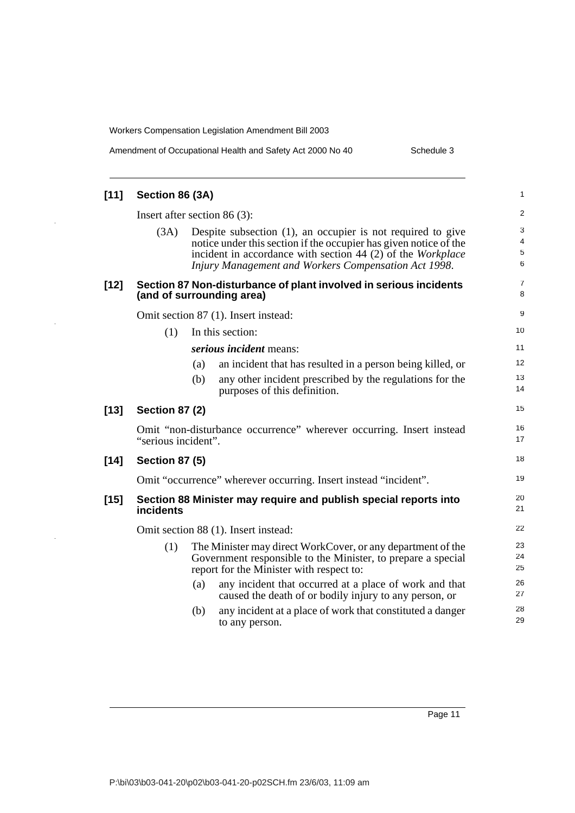$\overline{a}$ 

 $\bar{z}$ 

| Amendment of Occupational Health and Safety Act 2000 No 40 | Schedule 3 |
|------------------------------------------------------------|------------|
|------------------------------------------------------------|------------|

| $[11]$ | Section 86 (3A)                                                                                |                                                                                                                                                                                                                                                            |                                                                                                                                                                         |                       |  |
|--------|------------------------------------------------------------------------------------------------|------------------------------------------------------------------------------------------------------------------------------------------------------------------------------------------------------------------------------------------------------------|-------------------------------------------------------------------------------------------------------------------------------------------------------------------------|-----------------------|--|
|        | Insert after section 86 $(3)$ :                                                                |                                                                                                                                                                                                                                                            |                                                                                                                                                                         |                       |  |
|        | (3A)                                                                                           | Despite subsection $(1)$ , an occupier is not required to give<br>notice under this section if the occupier has given notice of the<br>incident in accordance with section 44 (2) of the Workplace<br>Injury Management and Workers Compensation Act 1998. | 3<br>4<br>5<br>6                                                                                                                                                        |                       |  |
| $[12]$ | Section 87 Non-disturbance of plant involved in serious incidents<br>(and of surrounding area) |                                                                                                                                                                                                                                                            |                                                                                                                                                                         | $\boldsymbol{7}$<br>8 |  |
|        |                                                                                                |                                                                                                                                                                                                                                                            | Omit section 87 (1). Insert instead:                                                                                                                                    | $\boldsymbol{9}$      |  |
|        | (1)                                                                                            |                                                                                                                                                                                                                                                            | In this section:                                                                                                                                                        | 10                    |  |
|        |                                                                                                |                                                                                                                                                                                                                                                            | serious incident means:                                                                                                                                                 | 11                    |  |
|        |                                                                                                | (a)                                                                                                                                                                                                                                                        | an incident that has resulted in a person being killed, or                                                                                                              | 12                    |  |
|        |                                                                                                | (b)                                                                                                                                                                                                                                                        | any other incident prescribed by the regulations for the<br>purposes of this definition.                                                                                | 13<br>14              |  |
| $[13]$ | <b>Section 87 (2)</b>                                                                          |                                                                                                                                                                                                                                                            |                                                                                                                                                                         | 15                    |  |
|        | "serious incident".                                                                            |                                                                                                                                                                                                                                                            | Omit "non-disturbance occurrence" wherever occurring. Insert instead                                                                                                    | 16<br>17              |  |
| $[14]$ | <b>Section 87 (5)</b>                                                                          |                                                                                                                                                                                                                                                            |                                                                                                                                                                         |                       |  |
|        | Omit "occurrence" wherever occurring. Insert instead "incident".                               |                                                                                                                                                                                                                                                            |                                                                                                                                                                         |                       |  |
| $[15]$ | <b>incidents</b>                                                                               |                                                                                                                                                                                                                                                            | Section 88 Minister may require and publish special reports into                                                                                                        | 20<br>21              |  |
|        |                                                                                                |                                                                                                                                                                                                                                                            | Omit section 88 (1). Insert instead:                                                                                                                                    | 22                    |  |
|        | (1)                                                                                            |                                                                                                                                                                                                                                                            | The Minister may direct WorkCover, or any department of the<br>Government responsible to the Minister, to prepare a special<br>report for the Minister with respect to: | 23<br>24<br>25        |  |
|        |                                                                                                | (a)                                                                                                                                                                                                                                                        | any incident that occurred at a place of work and that<br>caused the death of or bodily injury to any person, or                                                        | 26<br>27              |  |
|        |                                                                                                | (b)                                                                                                                                                                                                                                                        | any incident at a place of work that constituted a danger<br>to any person.                                                                                             | 28<br>29              |  |
|        |                                                                                                |                                                                                                                                                                                                                                                            |                                                                                                                                                                         |                       |  |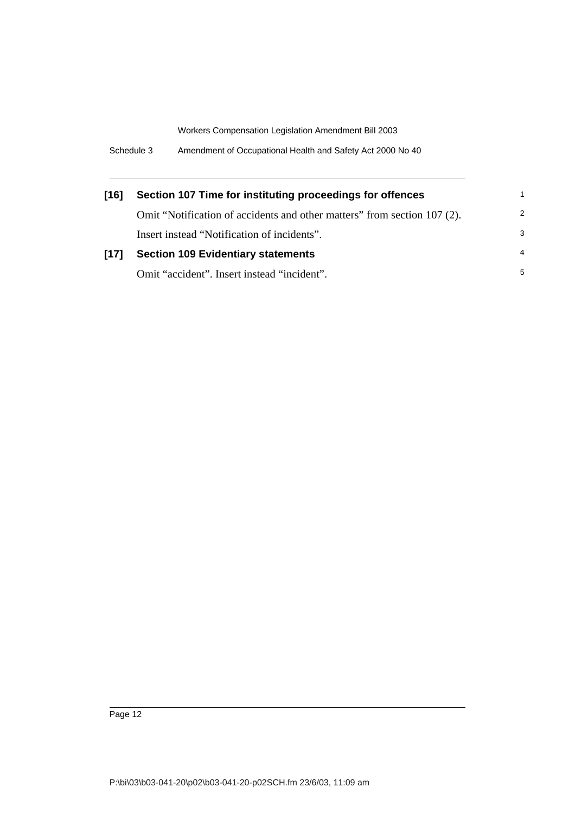| [16] | Section 107 Time for instituting proceedings for offences                | 1              |
|------|--------------------------------------------------------------------------|----------------|
|      | Omit "Notification of accidents and other matters" from section 107 (2). | -2             |
|      | Insert instead "Notification of incidents".                              | -3             |
| [17] | <b>Section 109 Evidentiary statements</b>                                | $\overline{4}$ |
|      | Omit "accident". Insert instead "incident".                              | 5              |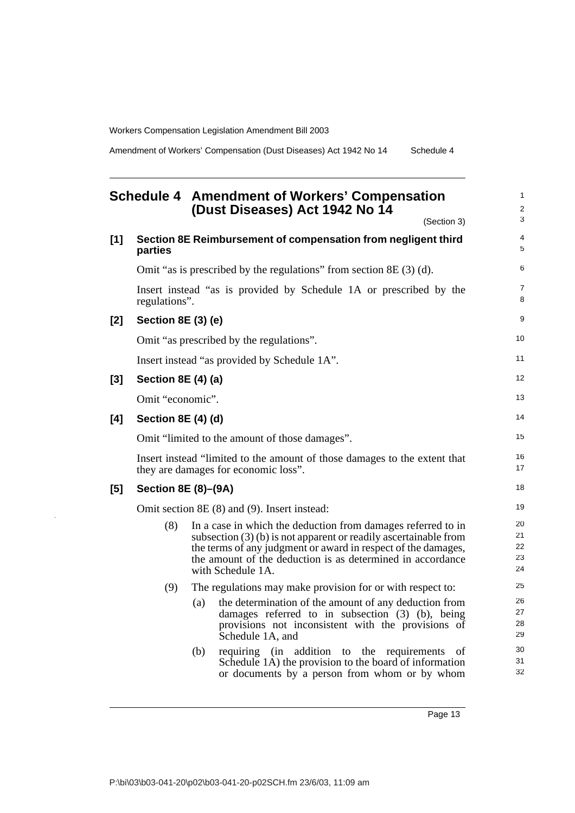Amendment of Workers' Compensation (Dust Diseases) Act 1942 No 14 Schedule 4

## <span id="page-18-0"></span>**Schedule 4 Amendment of Workers' Compensation (Dust Diseases) Act 1942 No 14**

(Section 3)

1 2 3

| [1] | parties                                       |                                                                                                                                                                                                                                                                                        | Section 8E Reimbursement of compensation from negligent third                                                                                                                       | 4<br>5               |
|-----|-----------------------------------------------|----------------------------------------------------------------------------------------------------------------------------------------------------------------------------------------------------------------------------------------------------------------------------------------|-------------------------------------------------------------------------------------------------------------------------------------------------------------------------------------|----------------------|
|     |                                               |                                                                                                                                                                                                                                                                                        | Omit "as is prescribed by the regulations" from section $8E(3)$ (d).                                                                                                                | 6                    |
|     | regulations".                                 |                                                                                                                                                                                                                                                                                        | Insert instead "as is provided by Schedule 1A or prescribed by the                                                                                                                  | $\overline{7}$<br>8  |
| [2] | Section 8E (3) (e)                            |                                                                                                                                                                                                                                                                                        |                                                                                                                                                                                     | 9                    |
|     |                                               |                                                                                                                                                                                                                                                                                        | Omit "as prescribed by the regulations".                                                                                                                                            | 10                   |
|     |                                               |                                                                                                                                                                                                                                                                                        | Insert instead "as provided by Schedule 1A".                                                                                                                                        | 11                   |
| [3] | Section 8E (4) (a)                            |                                                                                                                                                                                                                                                                                        |                                                                                                                                                                                     | 12                   |
|     | Omit "economic".                              |                                                                                                                                                                                                                                                                                        |                                                                                                                                                                                     | 13                   |
| [4] | Section 8E (4) (d)                            |                                                                                                                                                                                                                                                                                        |                                                                                                                                                                                     | 14                   |
|     |                                               |                                                                                                                                                                                                                                                                                        | Omit "limited to the amount of those damages".                                                                                                                                      | 15                   |
|     |                                               |                                                                                                                                                                                                                                                                                        | Insert instead "limited to the amount of those damages to the extent that<br>they are damages for economic loss".                                                                   | 16<br>17             |
| [5] | Section 8E (8)-(9A)                           |                                                                                                                                                                                                                                                                                        |                                                                                                                                                                                     |                      |
|     | Omit section $8E(8)$ and (9). Insert instead: |                                                                                                                                                                                                                                                                                        |                                                                                                                                                                                     |                      |
|     | (8)                                           | In a case in which the deduction from damages referred to in<br>subsection $(3)$ (b) is not apparent or readily ascertainable from<br>the terms of any judgment or award in respect of the damages,<br>the amount of the deduction is as determined in accordance<br>with Schedule 1A. |                                                                                                                                                                                     |                      |
|     | (9)                                           |                                                                                                                                                                                                                                                                                        | The regulations may make provision for or with respect to:                                                                                                                          | 25                   |
|     |                                               | (a)                                                                                                                                                                                                                                                                                    | the determination of the amount of any deduction from<br>damages referred to in subsection (3) (b), being<br>provisions not inconsistent with the provisions of<br>Schedule 1A, and | 26<br>27<br>28<br>29 |
|     |                                               | (b)                                                                                                                                                                                                                                                                                    | requiring (in addition to the requirements of<br>Schedule 1A) the provision to the board of information<br>or documents by a person from whom or by whom                            | 30<br>31<br>32       |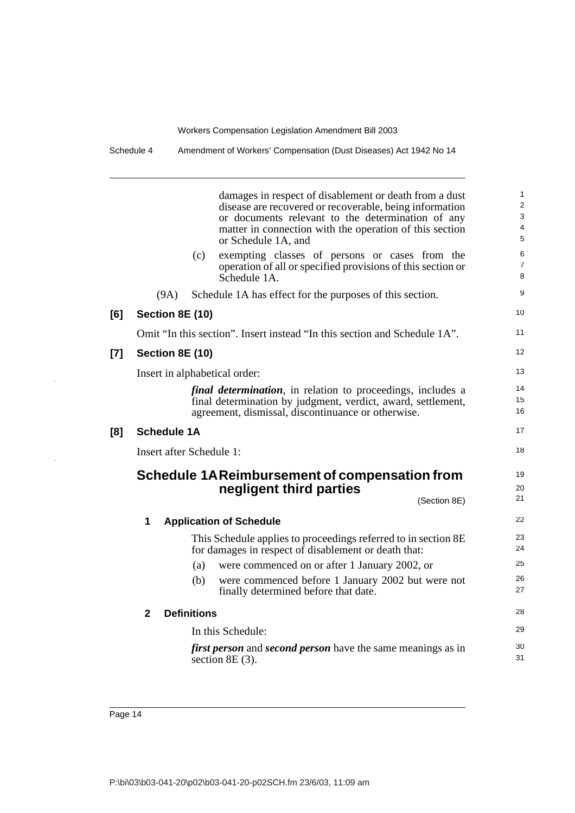|     |                          |                    | damages in respect of disablement or death from a dust<br>disease are recovered or recoverable, being information<br>or documents relevant to the determination of any<br>matter in connection with the operation of this section | $\mathbf{1}$<br>2<br>3<br>4<br>$\sqrt{5}$ |
|-----|--------------------------|--------------------|-----------------------------------------------------------------------------------------------------------------------------------------------------------------------------------------------------------------------------------|-------------------------------------------|
|     |                          | (c)                | or Schedule 1A, and<br>exempting classes of persons or cases from the<br>operation of all or specified provisions of this section or<br>Schedule 1A.                                                                              | 6<br>$\overline{7}$<br>8                  |
|     | (9A)                     |                    | Schedule 1A has effect for the purposes of this section.                                                                                                                                                                          | 9                                         |
| [6] | Section 8E (10)          |                    |                                                                                                                                                                                                                                   | 10                                        |
|     |                          |                    | Omit "In this section". Insert instead "In this section and Schedule 1A".                                                                                                                                                         | 11                                        |
| [7] | Section 8E (10)          |                    |                                                                                                                                                                                                                                   | 12                                        |
|     |                          |                    | Insert in alphabetical order:                                                                                                                                                                                                     | 13                                        |
|     |                          |                    | <i>final determination</i> , in relation to proceedings, includes a<br>final determination by judgment, verdict, award, settlement,<br>agreement, dismissal, discontinuance or otherwise.                                         | 14<br>15<br>16                            |
| [8] | <b>Schedule 1A</b>       |                    |                                                                                                                                                                                                                                   | 17                                        |
|     | Insert after Schedule 1: |                    |                                                                                                                                                                                                                                   | 18                                        |
|     |                          |                    | Schedule 1AReimbursement of compensation from<br>negligent third parties<br>(Section 8E)                                                                                                                                          | 19<br>20<br>21                            |
|     | 1                        |                    | <b>Application of Schedule</b>                                                                                                                                                                                                    | 22                                        |
|     |                          | (a)<br>(b)         | This Schedule applies to proceedings referred to in section 8E<br>for damages in respect of disablement or death that:<br>were commenced on or after 1 January 2002, or<br>were commenced before 1 January 2002 but were not      | 23<br>24<br>25<br>26<br>27                |
|     |                          |                    | finally determined before that date.                                                                                                                                                                                              | 28                                        |
|     | $\mathbf{2}$             | <b>Definitions</b> | In this Schedule:                                                                                                                                                                                                                 | 29                                        |
|     |                          |                    | <i>first person</i> and <i>second person</i> have the same meanings as in                                                                                                                                                         | 30                                        |
|     |                          |                    | section $8E(3)$ .                                                                                                                                                                                                                 | 31                                        |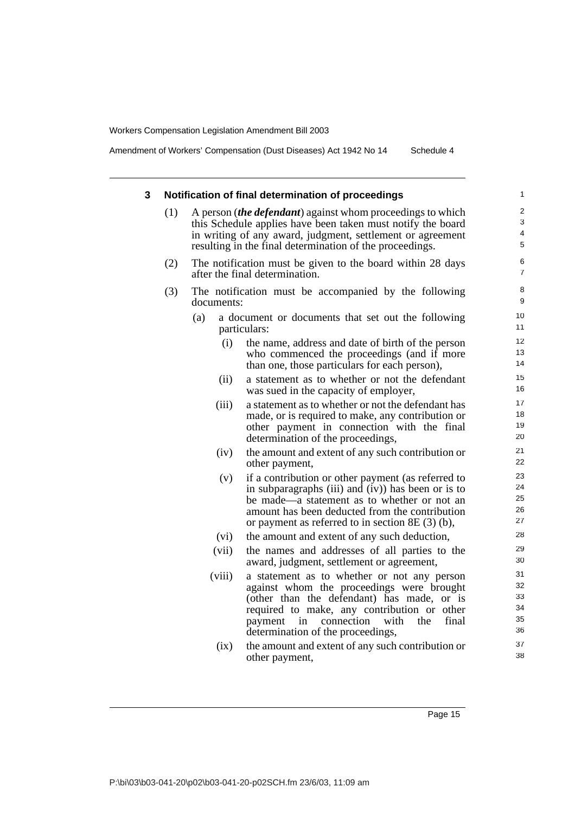Amendment of Workers' Compensation (Dust Diseases) Act 1942 No 14 Schedule 4

| 3 |     |            | Notification of final determination of proceedings                                                                                                                                                                                                                                | $\mathbf{1}$                                                  |
|---|-----|------------|-----------------------------------------------------------------------------------------------------------------------------------------------------------------------------------------------------------------------------------------------------------------------------------|---------------------------------------------------------------|
|   | (1) |            | A person <i>(the defendant)</i> against whom proceedings to which<br>this Schedule applies have been taken must notify the board<br>in writing of any award, judgment, settlement or agreement<br>resulting in the final determination of the proceedings.                        | $\overline{\mathbf{c}}$<br>3<br>$\overline{\mathcal{L}}$<br>5 |
|   | (2) |            | The notification must be given to the board within 28 days<br>after the final determination.                                                                                                                                                                                      | 6<br>$\overline{7}$                                           |
|   | (3) | documents: | The notification must be accompanied by the following                                                                                                                                                                                                                             | 8<br>9                                                        |
|   |     | (a)        | a document or documents that set out the following<br>particulars:                                                                                                                                                                                                                | 10<br>11                                                      |
|   |     | (i)        | the name, address and date of birth of the person<br>who commenced the proceedings (and if more<br>than one, those particulars for each person),                                                                                                                                  | 12<br>13<br>14                                                |
|   |     | (ii)       | a statement as to whether or not the defendant<br>was sued in the capacity of employer,                                                                                                                                                                                           | 15<br>16                                                      |
|   |     | (iii)      | a statement as to whether or not the defendant has<br>made, or is required to make, any contribution or<br>other payment in connection with the final<br>determination of the proceedings,                                                                                        | 17<br>18<br>19<br>20                                          |
|   |     | (iv)       | the amount and extent of any such contribution or<br>other payment,                                                                                                                                                                                                               | 21<br>22                                                      |
|   |     | (v)        | if a contribution or other payment (as referred to<br>in subparagraphs (iii) and (iv)) has been or is to<br>be made—a statement as to whether or not an<br>amount has been deducted from the contribution<br>or payment as referred to in section $8E(3)$ (b),                    | 23<br>24<br>25<br>26<br>27                                    |
|   |     | (vi)       | the amount and extent of any such deduction,                                                                                                                                                                                                                                      | 28                                                            |
|   |     | (vii)      | the names and addresses of all parties to the<br>award, judgment, settlement or agreement,                                                                                                                                                                                        | 29<br>30                                                      |
|   |     | (viii)     | a statement as to whether or not any person<br>against whom the proceedings were brought<br>(other than the defendant) has made, or is<br>required to make, any contribution or other<br>connection<br>with<br>final<br>payment<br>in<br>the<br>determination of the proceedings, | 31<br>32<br>33<br>34<br>35<br>36                              |
|   |     | (ix)       | the amount and extent of any such contribution or<br>other payment,                                                                                                                                                                                                               | 37<br>38                                                      |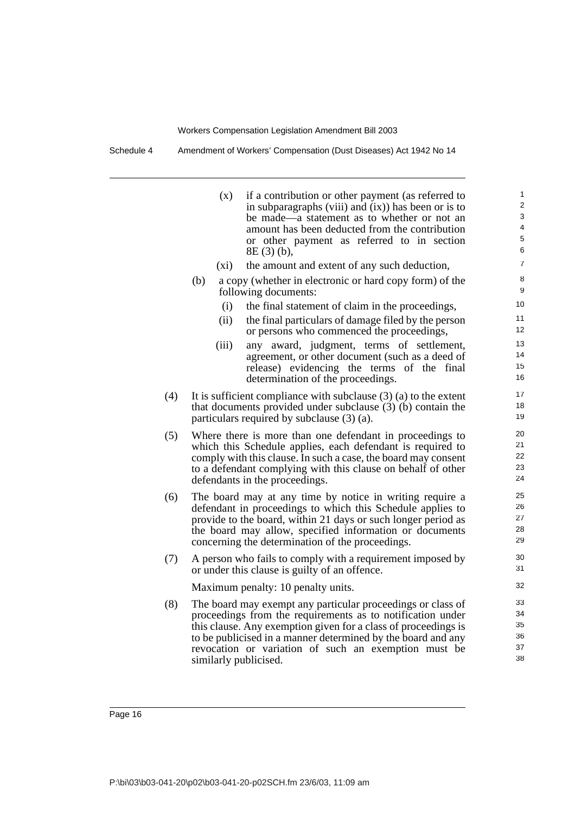Schedule 4 Amendment of Workers' Compensation (Dust Diseases) Act 1942 No 14

(x) if a contribution or other payment (as referred to in subparagraphs (viii) and (ix)) has been or is to be made—a statement as to whether or not an amount has been deducted from the contribution or other payment as referred to in section 8E (3) (b),

- (xi) the amount and extent of any such deduction,
- (b) a copy (whether in electronic or hard copy form) of the following documents:
	- (i) the final statement of claim in the proceedings,
	- (ii) the final particulars of damage filed by the person or persons who commenced the proceedings,
	- (iii) any award, judgment, terms of settlement, agreement, or other document (such as a deed of release) evidencing the terms of the final determination of the proceedings.
- (4) It is sufficient compliance with subclause (3) (a) to the extent that documents provided under subclause (3) (b) contain the particulars required by subclause (3) (a).
- (5) Where there is more than one defendant in proceedings to which this Schedule applies, each defendant is required to comply with this clause. In such a case, the board may consent to a defendant complying with this clause on behalf of other defendants in the proceedings.
- (6) The board may at any time by notice in writing require a defendant in proceedings to which this Schedule applies to provide to the board, within 21 days or such longer period as the board may allow, specified information or documents concerning the determination of the proceedings.
- (7) A person who fails to comply with a requirement imposed by or under this clause is guilty of an offence.

Maximum penalty: 10 penalty units.

(8) The board may exempt any particular proceedings or class of proceedings from the requirements as to notification under this clause. Any exemption given for a class of proceedings is to be publicised in a manner determined by the board and any revocation or variation of such an exemption must be similarly publicised.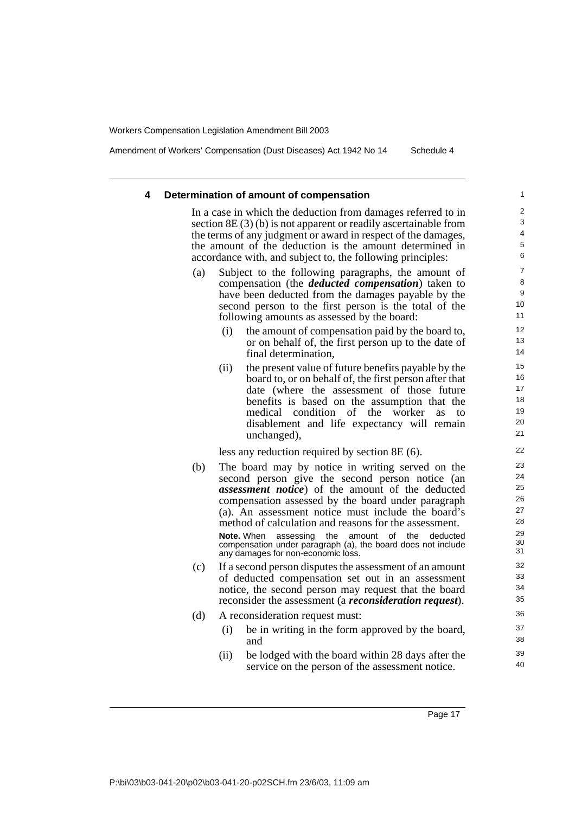Amendment of Workers' Compensation (Dust Diseases) Act 1942 No 14 Schedule 4

#### **4 Determination of amount of compensation**

In a case in which the deduction from damages referred to in section 8E (3) (b) is not apparent or readily ascertainable from the terms of any judgment or award in respect of the damages, the amount of the deduction is the amount determined in accordance with, and subject to, the following principles:

- (a) Subject to the following paragraphs, the amount of compensation (the *deducted compensation*) taken to have been deducted from the damages payable by the second person to the first person is the total of the following amounts as assessed by the board:
	- (i) the amount of compensation paid by the board to, or on behalf of, the first person up to the date of final determination,
	- (ii) the present value of future benefits payable by the board to, or on behalf of, the first person after that date (where the assessment of those future benefits is based on the assumption that the medical condition of the worker as to disablement and life expectancy will remain unchanged),

less any reduction required by section 8E (6).

(b) The board may by notice in writing served on the second person give the second person notice (an *assessment notice*) of the amount of the deducted compensation assessed by the board under paragraph (a). An assessment notice must include the board's method of calculation and reasons for the assessment. **Note.** When assessing the amount of the deducted

compensation under paragraph (a), the board does not include any damages for non-economic loss.

- (c) If a second person disputes the assessment of an amount of deducted compensation set out in an assessment notice, the second person may request that the board reconsider the assessment (a *reconsideration request*).
- (d) A reconsideration request must:
	- (i) be in writing in the form approved by the board, and
	- (ii) be lodged with the board within 28 days after the service on the person of the assessment notice.

Page 17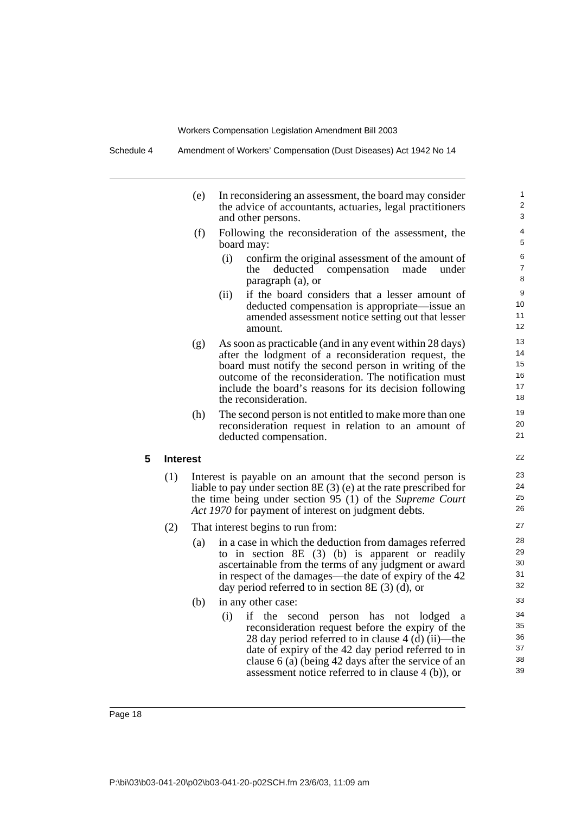- (e) In reconsidering an assessment, the board may consider the advice of accountants, actuaries, legal practitioners and other persons.
- (f) Following the reconsideration of the assessment, the board may:
	- (i) confirm the original assessment of the amount of the deducted compensation made under paragraph (a), or

- (ii) if the board considers that a lesser amount of deducted compensation is appropriate—issue an amended assessment notice setting out that lesser amount.
- (g) As soon as practicable (and in any event within 28 days) after the lodgment of a reconsideration request, the board must notify the second person in writing of the outcome of the reconsideration. The notification must include the board's reasons for its decision following the reconsideration.
- (h) The second person is not entitled to make more than one reconsideration request in relation to an amount of deducted compensation.

### **5 Interest**

- (1) Interest is payable on an amount that the second person is liable to pay under section 8E (3) (e) at the rate prescribed for the time being under section 95 (1) of the *Supreme Court Act 1970* for payment of interest on judgment debts.
- (2) That interest begins to run from:
	- (a) in a case in which the deduction from damages referred to in section 8E (3) (b) is apparent or readily ascertainable from the terms of any judgment or award in respect of the damages—the date of expiry of the 42 day period referred to in section 8E (3) (d), or
	- (b) in any other case:
		- (i) if the second person has not lodged a reconsideration request before the expiry of the 28 day period referred to in clause 4 (d) (ii)—the date of expiry of the 42 day period referred to in clause 6 (a) (being 42 days after the service of an assessment notice referred to in clause 4 (b)), or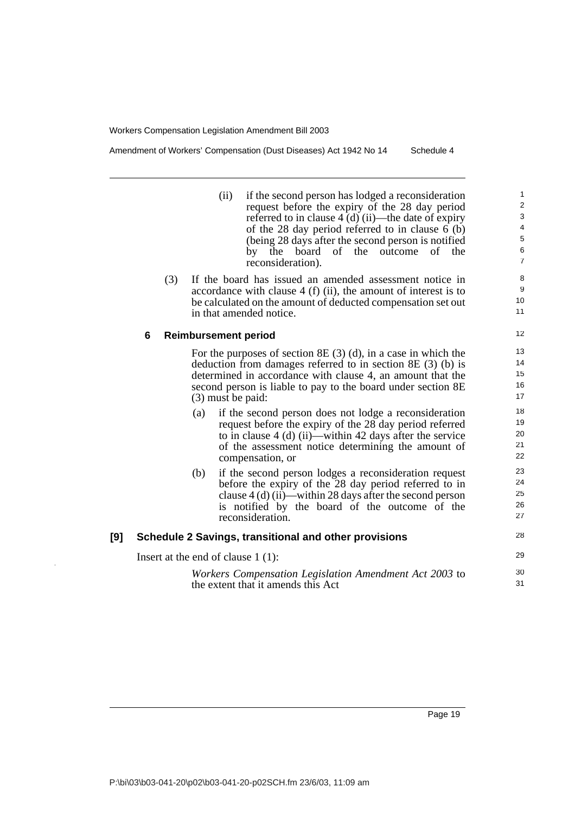Amendment of Workers' Compensation (Dust Diseases) Act 1942 No 14 Schedule 4

- (ii) if the second person has lodged a reconsideration request before the expiry of the 28 day period referred to in clause 4 (d) (ii)—the date of expiry of the 28 day period referred to in clause  $6$  (b) (being 28 days after the second person is notified by the board of the outcome of the reconsideration).
- (3) If the board has issued an amended assessment notice in accordance with clause 4 (f) (ii), the amount of interest is to be calculated on the amount of deducted compensation set out in that amended notice.

#### **6 Reimbursement period**

For the purposes of section 8E (3) (d), in a case in which the deduction from damages referred to in section 8E (3) (b) is determined in accordance with clause 4, an amount that the second person is liable to pay to the board under section 8E (3) must be paid:

- (a) if the second person does not lodge a reconsideration request before the expiry of the 28 day period referred to in clause 4 (d) (ii)—within 42 days after the service of the assessment notice determining the amount of compensation, or
- (b) if the second person lodges a reconsideration request before the expiry of the 28 day period referred to in clause 4 (d) (ii)—within 28 days after the second person is notified by the board of the outcome of the reconsideration.

### **[9] Schedule 2 Savings, transitional and other provisions**

Insert at the end of clause 1 (1):

*Workers Compensation Legislation Amendment Act 2003* to the extent that it amends this Act

12

28

29 30

31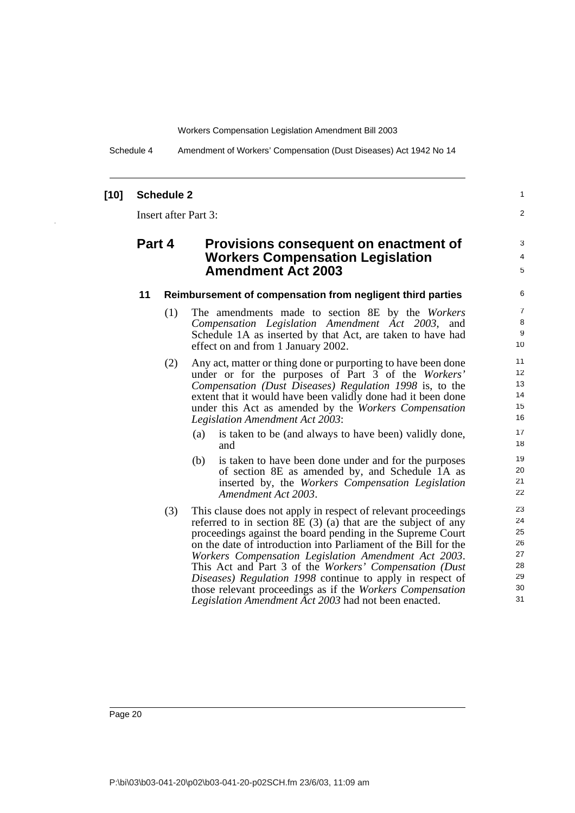Schedule 4 Amendment of Workers' Compensation (Dust Diseases) Act 1942 No 14

### **[10] Schedule 2**

Insert after Part 3:

## **Part 4 Provisions consequent on enactment of Workers Compensation Legislation Amendment Act 2003**

#### **11 Reimbursement of compensation from negligent third parties**

(1) The amendments made to section 8E by the *Workers Compensation Legislation Amendment Act 2003*, and Schedule 1A as inserted by that Act, are taken to have had effect on and from 1 January 2002.

1  $\overline{2}$ 

3 4 5

- (2) Any act, matter or thing done or purporting to have been done under or for the purposes of Part 3 of the *Workers' Compensation (Dust Diseases) Regulation 1998* is, to the extent that it would have been validly done had it been done under this Act as amended by the *Workers Compensation Legislation Amendment Act 2003*:
	- (a) is taken to be (and always to have been) validly done, and
	- (b) is taken to have been done under and for the purposes of section 8E as amended by, and Schedule 1A as inserted by, the *Workers Compensation Legislation Amendment Act 2003*.
- (3) This clause does not apply in respect of relevant proceedings referred to in section 8E (3) (a) that are the subject of any proceedings against the board pending in the Supreme Court on the date of introduction into Parliament of the Bill for the *Workers Compensation Legislation Amendment Act 2003*. This Act and Part 3 of the *Workers' Compensation (Dust Diseases) Regulation 1998* continue to apply in respect of those relevant proceedings as if the *Workers Compensation Legislation Amendment Act 2003* had not been enacted.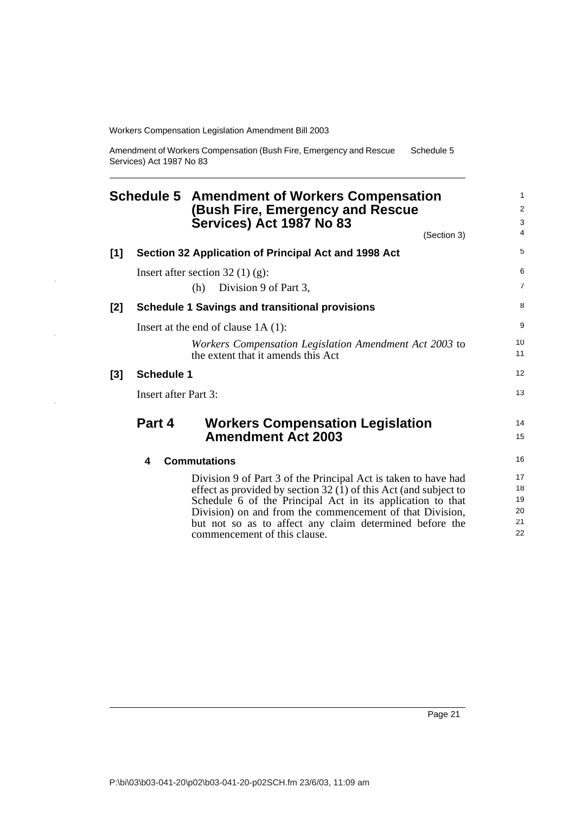$\bar{z}$ 

 $\overline{\phantom{a}}$ 

 $\ddot{\phantom{a}}$ 

Amendment of Workers Compensation (Bush Fire, Emergency and Rescue Services) Act 1987 No 83 Schedule 5

<span id="page-26-0"></span>

|       |                             | <b>Schedule 5 Amendment of Workers Compensation</b><br>(Bush Fire, Emergency and Rescue                                                                                                                                                                                                                                                                  |                                  |
|-------|-----------------------------|----------------------------------------------------------------------------------------------------------------------------------------------------------------------------------------------------------------------------------------------------------------------------------------------------------------------------------------------------------|----------------------------------|
|       |                             | Services) Act 1987 No 83                                                                                                                                                                                                                                                                                                                                 | 3                                |
|       |                             | (Section 3)                                                                                                                                                                                                                                                                                                                                              | $\overline{4}$                   |
| $[1]$ |                             | Section 32 Application of Principal Act and 1998 Act                                                                                                                                                                                                                                                                                                     | 5                                |
|       |                             | Insert after section $32(1)(g)$ :                                                                                                                                                                                                                                                                                                                        | 6                                |
|       |                             | Division 9 of Part 3,<br>(h)                                                                                                                                                                                                                                                                                                                             | $\overline{7}$                   |
| $[2]$ |                             | <b>Schedule 1 Savings and transitional provisions</b>                                                                                                                                                                                                                                                                                                    | 8                                |
|       |                             | Insert at the end of clause $1A(1)$ :                                                                                                                                                                                                                                                                                                                    | 9                                |
|       |                             | Workers Compensation Legislation Amendment Act 2003 to<br>the extent that it amends this Act                                                                                                                                                                                                                                                             | 10<br>11                         |
| $[3]$ | <b>Schedule 1</b>           |                                                                                                                                                                                                                                                                                                                                                          | 12                               |
|       | <b>Insert after Part 3:</b> |                                                                                                                                                                                                                                                                                                                                                          |                                  |
|       | Part 4                      | <b>Workers Compensation Legislation</b>                                                                                                                                                                                                                                                                                                                  | 14                               |
|       |                             | <b>Amendment Act 2003</b>                                                                                                                                                                                                                                                                                                                                | 15                               |
|       | 4                           | <b>Commutations</b>                                                                                                                                                                                                                                                                                                                                      | 16                               |
|       |                             | Division 9 of Part 3 of the Principal Act is taken to have had<br>effect as provided by section $32(1)$ of this Act (and subject to<br>Schedule 6 of the Principal Act in its application to that<br>Division) on and from the commencement of that Division,<br>but not so as to affect any claim determined before the<br>commencement of this clause. | 17<br>18<br>19<br>20<br>21<br>22 |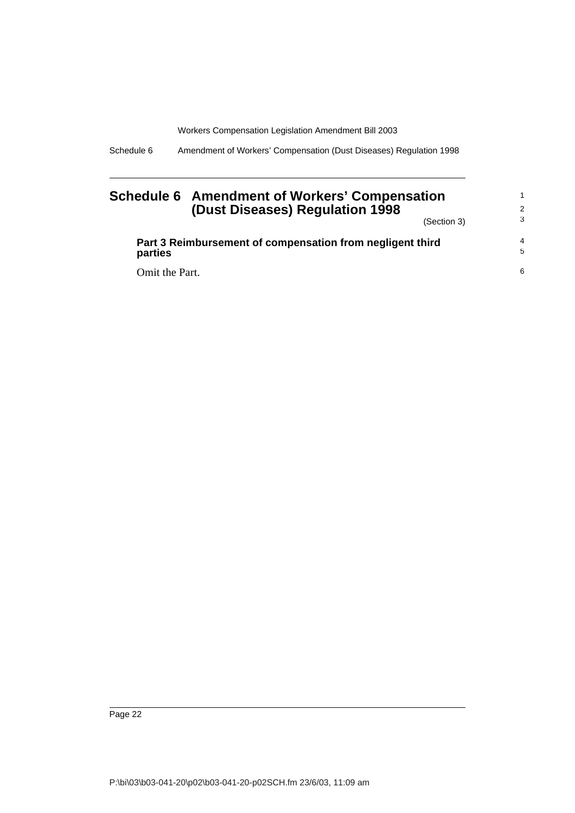Schedule 6 Amendment of Workers' Compensation (Dust Diseases) Regulation 1998

## <span id="page-27-0"></span>**Schedule 6 Amendment of Workers' Compensation (Dust Diseases) Regulation 1998**

(Section 3)

1 2 3

| Part 3 Reimbursement of compensation from negligent third<br>parties |                |  |
|----------------------------------------------------------------------|----------------|--|
|                                                                      | Omit the Part. |  |